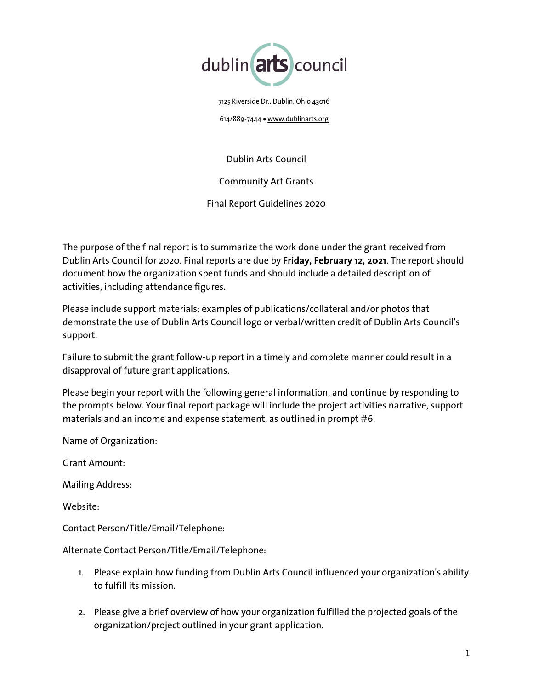

7125 Riverside Dr., Dublin, Ohio 43016

614/889-7444 • www.dublinarts.org

Dublin Arts Council

Community Art Grants

Final Report Guidelines 2020

The purpose of the final report is to summarize the work done under the grant received from Dublin Arts Council for 2020. Final reports are due by Friday, February 12, 2021. The report should document how the organization spent funds and should include a detailed description of activities, including attendance figures.

Please include support materials; examples of publications/collateral and/or photos that demonstrate the use of Dublin Arts Council logo or verbal/written credit of Dublin Arts Council's support.

Failure to submit the grant follow-up report in a timely and complete manner could result in a disapproval of future grant applications.

Please begin your report with the following general information, and continue by responding to the prompts below. Your final report package will include the project activities narrative, support materials and an income and expense statement, as outlined in prompt #6.

Name of Organization:

Grant Amount:

Mailing Address:

Website:

Contact Person/Title/Email/Telephone:

## Alternate Contact Person/Title/Email/Telephone:

- 1. Please explain how funding from Dublin Arts Council influenced your organization's ability to fulfill its mission.
- 2. Please give a brief overview of how your organization fulfilled the projected goals of the organization/project outlined in your grant application.